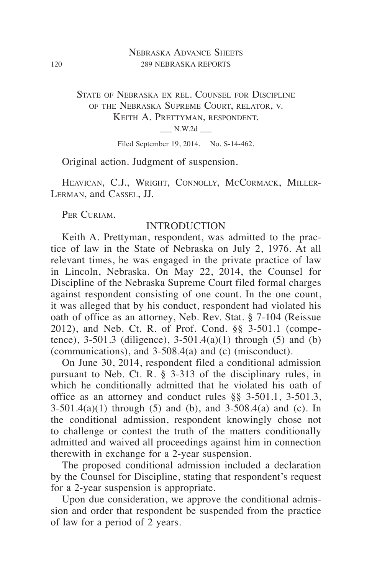# Nebraska Advance Sheets 120 289 NEBRASKA REPORTS

# State of Nebraska ex rel. Counsel for Discipline of the Nebraska Supreme Court, relator, v. Keith A. Prettyman, respondent.  $N.W.2d$   $\qquad$

Filed September 19, 2014. No. S-14-462.

Original action. Judgment of suspension.

HEAVICAN, C.J., WRIGHT, CONNOLLY, MCCORMACK, MILLER-Lerman, and Cassel, JJ.

PER CURIAM.

## INTRODUCTION

Keith A. Prettyman, respondent, was admitted to the practice of law in the State of Nebraska on July 2, 1976. At all relevant times, he was engaged in the private practice of law in Lincoln, Nebraska. On May 22, 2014, the Counsel for Discipline of the Nebraska Supreme Court filed formal charges against respondent consisting of one count. In the one count, it was alleged that by his conduct, respondent had violated his oath of office as an attorney, Neb. Rev. Stat. § 7-104 (Reissue 2012), and Neb. Ct. R. of Prof. Cond. §§ 3-501.1 (competence),  $3-501.3$  (diligence),  $3-501.4(a)(1)$  through (5) and (b) (communications), and 3-508.4(a) and (c) (misconduct).

On June 30, 2014, respondent filed a conditional admission pursuant to Neb. Ct. R. § 3-313 of the disciplinary rules, in which he conditionally admitted that he violated his oath of office as an attorney and conduct rules §§ 3-501.1, 3-501.3,  $3-501.4(a)(1)$  through (5) and (b), and  $3-508.4(a)$  and (c). In the conditional admission, respondent knowingly chose not to challenge or contest the truth of the matters conditionally admitted and waived all proceedings against him in connection therewith in exchange for a 2-year suspension.

The proposed conditional admission included a declaration by the Counsel for Discipline, stating that respondent's request for a 2-year suspension is appropriate.

Upon due consideration, we approve the conditional admission and order that respondent be suspended from the practice of law for a period of 2 years.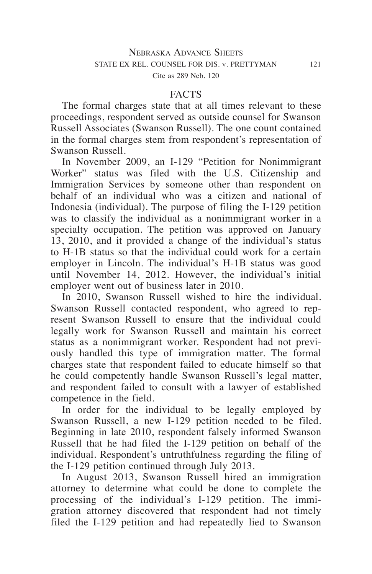#### **FACTS**

The formal charges state that at all times relevant to these proceedings, respondent served as outside counsel for Swanson Russell Associates (Swanson Russell). The one count contained in the formal charges stem from respondent's representation of Swanson Russell.

In November 2009, an I-129 "Petition for Nonimmigrant Worker" status was filed with the U.S. Citizenship and Immigration Services by someone other than respondent on behalf of an individual who was a citizen and national of Indonesia (individual). The purpose of filing the I-129 petition was to classify the individual as a nonimmigrant worker in a specialty occupation. The petition was approved on January 13, 2010, and it provided a change of the individual's status to H-1B status so that the individual could work for a certain employer in Lincoln. The individual's H-1B status was good until November 14, 2012. However, the individual's initial employer went out of business later in 2010.

In 2010, Swanson Russell wished to hire the individual. Swanson Russell contacted respondent, who agreed to represent Swanson Russell to ensure that the individual could legally work for Swanson Russell and maintain his correct status as a nonimmigrant worker. Respondent had not previously handled this type of immigration matter. The formal charges state that respondent failed to educate himself so that he could competently handle Swanson Russell's legal matter, and respondent failed to consult with a lawyer of established competence in the field.

In order for the individual to be legally employed by Swanson Russell, a new I-129 petition needed to be filed. Beginning in late 2010, respondent falsely informed Swanson Russell that he had filed the I-129 petition on behalf of the individual. Respondent's untruthfulness regarding the filing of the I-129 petition continued through July 2013.

In August 2013, Swanson Russell hired an immigration attorney to determine what could be done to complete the processing of the individual's I-129 petition. The immigration attorney discovered that respondent had not timely filed the I-129 petition and had repeatedly lied to Swanson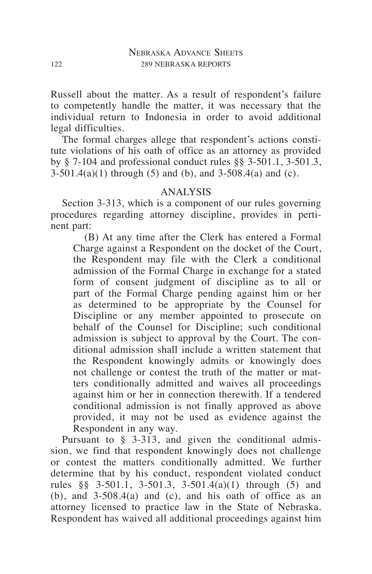Russell about the matter. As a result of respondent's failure to competently handle the matter, it was necessary that the individual return to Indonesia in order to avoid additional legal difficulties.

The formal charges allege that respondent's actions constitute violations of his oath of office as an attorney as provided by § 7-104 and professional conduct rules §§ 3-501.1, 3-501.3,  $3-501.4(a)(1)$  through (5) and (b), and  $3-508.4(a)$  and (c).

# ANALYSIS

Section 3-313, which is a component of our rules governing procedures regarding attorney discipline, provides in pertinent part:

(B) At any time after the Clerk has entered a Formal Charge against a Respondent on the docket of the Court, the Respondent may file with the Clerk a conditional admission of the Formal Charge in exchange for a stated form of consent judgment of discipline as to all or part of the Formal Charge pending against him or her as determined to be appropriate by the Counsel for Discipline or any member appointed to prosecute on behalf of the Counsel for Discipline; such conditional admission is subject to approval by the Court. The conditional admission shall include a written statement that the Respondent knowingly admits or knowingly does not challenge or contest the truth of the matter or matters conditionally admitted and waives all proceedings against him or her in connection therewith. If a tendered conditional admission is not finally approved as above provided, it may not be used as evidence against the Respondent in any way.

Pursuant to § 3-313, and given the conditional admission, we find that respondent knowingly does not challenge or contest the matters conditionally admitted. We further determine that by his conduct, respondent violated conduct rules §§ 3-501.1, 3-501.3, 3-501.4(a)(1) through (5) and  $(b)$ , and  $3-508.4(a)$  and  $(c)$ , and his oath of office as an attorney licensed to practice law in the State of Nebraska. Respondent has waived all additional proceedings against him